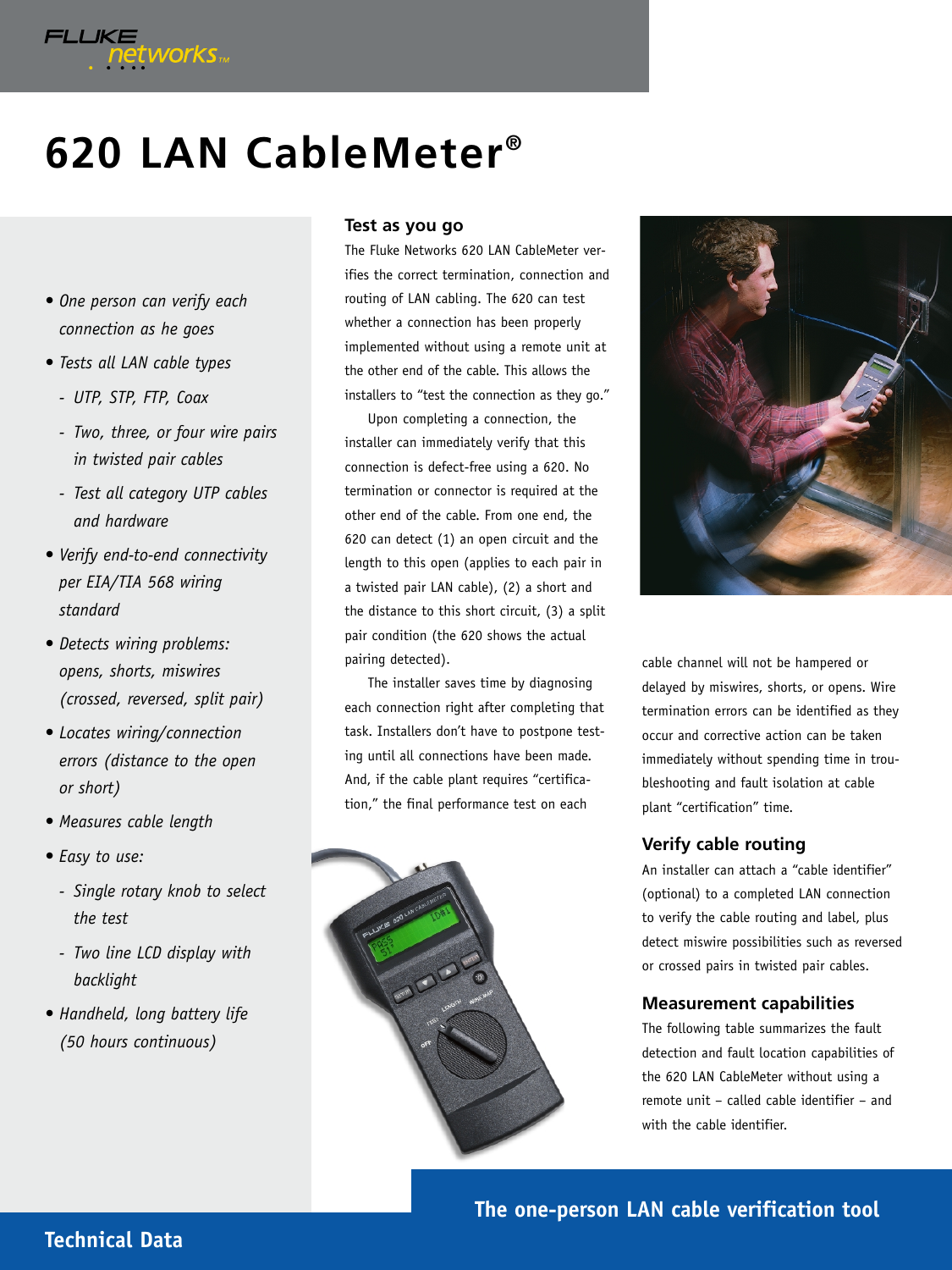# **620 LAN CableMeter®**

*• One person can verify each connection as he goes*

FLUKE<br>Petworks

- *Tests all LAN cable types*
	- *UTP, STP, FTP, Coax*
	- *Two, three, or four wire pairs in twisted pair cables*
	- *Test all category UTP cables and hardware*
- *Verify end-to-end connectivity per EIA/TIA 568 wiring standard*
- *Detects wiring problems: opens, shorts, miswires (crossed, reversed, split pair)*
- *Locates wiring/connection errors (distance to the open or short)*
- *Measures cable length*
- *Easy to use:*
	- *Single rotary knob to select the test*
	- *Two line LCD display with backlight*
- *Handheld, long battery life (50 hours continuous)*

#### **Test as you go**

The Fluke Networks 620 LAN CableMeter verifies the correct termination, connection and routing of LAN cabling. The 620 can test whether a connection has been properly implemented without using a remote unit at the other end of the cable. This allows the installers to "test the connection as they go."

Upon completing a connection, the installer can immediately verify that this connection is defect-free using a 620. No termination or connector is required at the other end of the cable. From one end, the 620 can detect (1) an open circuit and the length to this open (applies to each pair in a twisted pair LAN cable), (2) a short and the distance to this short circuit, (3) a split pair condition (the 620 shows the actual pairing detected).

The installer saves time by diagnosing each connection right after completing that task. Installers don't have to postpone testing until all connections have been made. And, if the cable plant requires "certification," the final performance test on each





cable channel will not be hampered or delayed by miswires, shorts, or opens. Wire termination errors can be identified as they occur and corrective action can be taken immediately without spending time in troubleshooting and fault isolation at cable plant "certification" time.

## **Verify cable routing**

An installer can attach a "cable identifier" (optional) to a completed LAN connection to verify the cable routing and label, plus detect miswire possibilities such as reversed or crossed pairs in twisted pair cables.

## **Measurement capabilities**

The following table summarizes the fault detection and fault location capabilities of the 620 LAN CableMeter without using a remote unit – called cable identifier – and with the cable identifier.

**The one-person LAN cable verification tool**

# **Technical Data**